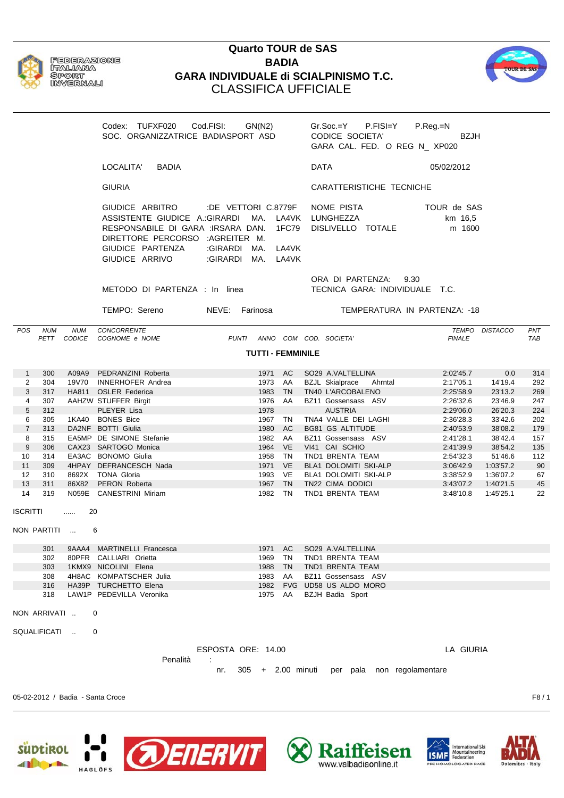

**FEDERAZIONE** ITALIANA **SPORT INVERMALI** 

## **Quarto TOUR de SAS BADIA GARA INDIVIDUALE di SCIALPINISMO T.C.** CLASSIFICA UFFICIALE



Mountaineering<br>Federation

**ISMF** 

www.valbadiaonline.it

Codex: TUFXF020 Cod.FISI: GN(N2) Gr.Soc.=Y P.FISI=Y P.Reg.=N SOC. ORGANIZZATRICE BADIASPORT ASD CODICE SOCIETA' BZJH GARA CAL. FED. O REG N\_ XP020 LOCALITA' BADIA DATA 05/02/2012 GIURIA CARATTERISTICHE TECNICHE GIUDICE ARBITRO :DE VETTORI C.8779F NOME PISTA TOUR de SAS ASSISTENTE GIUDICE A.: GIRARDI MA. LA4VK LUNGHEZZA km 16,5 RESPONSABILE DI GARA :IRSARA DAN. 1FC79 DISLIVELLO TOTALE m 1600 DIRETTORE PERCORSO :AGREITER M. GIUDICE PARTENZA :GIRARDI MA. LA4VK GIUDICE ARRIVO : GIRARDI MA. LA4VK ORA DI PARTENZA: 9.30 METODO DI PARTENZA : In linea TECNICA GARA: INDIVIDUALE T.C. TEMPO: Sereno NEVE: Farinosa TEMPERATURA IN PARTENZA: -18 *POS NUM NUM CONCORRENTE TEMPO DISTACCO PNT PETT CODICE COGNOME e NOME PUNTI ANNO COM COD. SOCIETA' FINALE TAB* **TUTTI - FEMMINILE** 1 300 A09A9 PEDRANZINI Roberta 1971 AC SO29 A.VALTELLINA 2:02'45.7 0.0 314 2 304 19V70 INNERHOFER Andrea 1973 AA BZJL Skialprace Ahrntal 2:17'05.1 14'19.4 292 3 317 HA811 OSLER Federica 1983 TN TN40 L'ARCOBALENO 2:25'58.9 23'13.2 269 4 307 AAHZW STUFFER Birgit 1976 AA BZ11 Gossensass ASV 2:26'32.6 23'46.9 247 5 312 PLEYER Lisa 1978 AUSTRIA 2:29'06.0 26'20.3 224 6 305 1KA40 BONES Bice 1967 TN TNA4 VALLE DEI LAGHI 2:36'28.3 33'42.6 202 7 313 DA2NF BOTTI Giulia 1980 AC BG81 GS ALTITUDE 2:40'53.9 38'08.2 179 8 315 EA5MP DE SIMONE Stefanie 1982 AA BZ11 Gossensass ASV 2:41'28.1 38'42.4 157 9 306 CAX23 SARTOGO Monica 1964 VE VI41 CAI SCHIO 2:41'39.9 38'54.2 135 10 314 EA3AC BONOMO Giulia 1958 TN TND1 BRENTA TEAM 2:54'32.3 51'46.6 112 11 309 4HPAY DEFRANCESCH Nada 1971 VE BLA1 DOLOMITI SKI-ALP 3:06'42.9 1:03'57.2 90 12 310 8692X TONA Gloria 1993 VE BLA1 DOLOMITI SKI-ALP 3:38'52.9 1:36'07.2 67 13 311 86X82 PERON Roberta 1967 TN TN22 CIMA DODICI 3:43'07.2 1:40'21.5 45 14 319 N059E CANESTRINI Miriam 1982 TN TND1 BRENTA TEAM 3:48'10.8 1:45'25.1 22 ISCRITTI ...... 20 NON PARTITI ... 6 301 9AAA4 MARTINELLI Francesca 1971 AC SO29 A.VALTELLINA 302 80PFR CALLIARI Orietta 1969 TN TND1 BRENTA TEAM 303 1KMX9 NICOLINI Elena 1988 TN TND1 BRENTA TEAM 308 4H8AC KOMPATSCHER Julia 1983 AA BZ11 Gossensass ASV 316 HA39P TURCHETTO Elena 1982 FVG UD58 US ALDO MORO 318 LAW1P PEDEVILLA Veronika 1975 AA BZJH Badia Sport NON ARRIVATI .. 0 SQUALIFICATI .. 0 ESPOSTA ORE: 14.00 LA GIURIA Penalità : nr. 305 + 2.00 minuti per pala non regolamentare 05-02-2012 / Badia - Santa Croce F8 / 1 **ADENERVIT** International Ski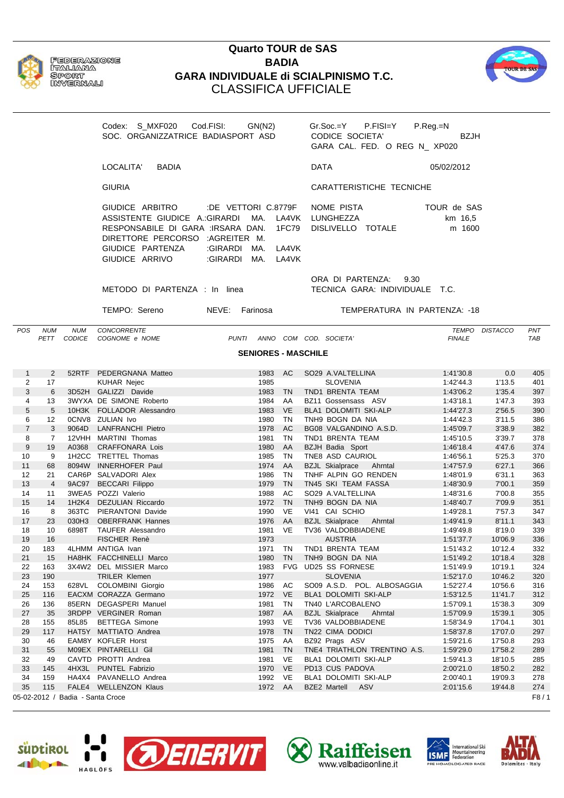

## **Quarto TOUR de SAS BADIA GARA INDIVIDUALE di SCIALPINISMO T.C.** CLASSIFICA UFFICIALE



Codex: S\_MXF020 Cod.FISI: GN(N2) Gr.Soc.=Y P.FISI=Y P.Reg.=N SOC. ORGANIZZATRICE BADIASPORT ASD CODICE SOCIETA' BZJH GARA CAL. FED. O REG N\_ XP020 LOCALITA' BADIA DATA 05/02/2012 GIURIA CARATTERISTICHE TECNICHE GIUDICE ARBITRO :DE VETTORI C.8779F NOME PISTA TOUR de SAS ASSISTENTE GIUDICE A.: GIRARDI MA. LA4VK LUNGHEZZA km 16,5 RESPONSABILE DI GARA :IRSARA DAN. 1FC79 DISLIVELLO TOTALE m 1600 DIRETTORE PERCORSO :AGREITER M. GIUDICE PARTENZA :GIRARDI MA. LA4VK GIUDICE ARRIVO : GIRARDI MA. LA4VK ORA DI PARTENZA: 9.30 METODO DI PARTENZA : In linea TECNICA GARA: INDIVIDUALE T.C. TEMPO: Sereno NEVE: Farinosa TEMPERATURA IN PARTENZA: -18 *POS NUM NUM CONCORRENTE TEMPO DISTACCO PNT PETT CODICE COGNOME e NOME PUNTI ANNO COM COD. SOCIETA' FINALE TAB* **SENIORES - MASCHILE** 1 2 52RTF PEDERGNANA Matteo 1983 AC SO29 A.VALTELLINA 1:41'30.8 0.0 405 2 17 KUHAR Nejec 1985 SLOVENIA 1:42'44.3 1'13.5 401 3 6 3D52H GALIZZI Davide 1983 TN TND1 BRENTA TEAM 1:43'06.2 1'35.4 397 4 13 3WYXA DE SIMONE Roberto 1984 AA BZ11 Gossensass ASV 1:43'18.1 1'47.3 393 5 5 10H3K FOLLADOR Alessandro 1983 VE BLA1 DOLOMITI SKI-ALP 1:44'27.3 2'56.5 390 6 12 0CNV8 ZULIAN Ivo 1980 TN TNH9 BOGN DA NIA 1:44'42.3 3'11.5 386 7 3 9064D LANFRANCHI Pietro 1978 AC BG08 VALGANDINO A.S.D. 1:45'09.7 3'38.9 382 8 7 12VHH MARTINI Thomas 1981 TN TND1 BRENTA TEAM 1:45'10.5 3'39.7 378 9 19 A0368 CRAFFONARA Lois 1980 AA BZJH Badia Sport 1:46'18.4 4'47.6 374 10 9 1H2CC TRETTEL Thomas 1985 TN TNE8 ASD CAURIOL 1:46'56.1 5'25.3 370 11 68 8094W INNERHOFER Paul 1974 AA BZJL Skialprace Ahrntal 1:47'57.9 6'27.1 366 12 21 CAR6P SALVADORI Alex 1986 TN THHE ALPIN GO RENDEN 1:48'01.9 6'31.1 363 13 4 9AC97 BECCARI Filippo 1979 TN TN45 SKI TEAM FASSA 1:48'30.9 7'00.1 359 14 11 3WEA5 POZZI Valerio 1988 AC SO29 A.VALTELLINA 1:48'31.6 7'00.8 355 15 14 1H2K4 DEZULIAN Riccardo 1972 TN TNH9 BOGN DA NIA 1:48'40.7 7'09.9 351 16 8 363TC PIERANTONI Davide 1990 VE VI41 CAI SCHIO 1:49'28.1 7'57.3 347 17 23 030H3 OBERFRANK Hannes 1976 AA BZJL Skialprace Ahrntal 1:49'41.9 8'11.1 343 18 10 6898T TAUFER Alessandro 1981 VE TV36 VALDOBBIADENE 1:49'49.8 8'19.0 339 19 16 FISCHER Renè 1973 AUSTRIA 1:51'37.7 10'06.9 336 20 183 4LHMM ANTIGA Ivan 1971 TN TND1 BRENTA TEAM 1:51'43.2 10'12.4 332 21 15 HA8HK FACCHINELLI Marco 1980 TN TNH9 BOGN DA NIA 1:51'49.2 10'18.4 328 22 163 3X4W2 DEL MISSIER Marco 1983 FVG UD25 SS FORNESE 1:51'49.9 10'19.1 324 23 190 TRILER Klemen 1977 SLOVENIA 1:52'17.0 10'46.2 320 24 153 628VL COLOMBINI Giorgio 1986 AC SO09 A.S.D. POL. ALBOSAGGIA 1:52'27.4 10'56.6 316 25 116 EACXM CORAZZA Germano 1972 VE BLA1 DOLOMITI SKI-ALP 1:53'12.5 11'41.7 312 26 136 85ERN DEGASPERI Manuel 1981 TN TN40 L'ARCOBALENO 1:57'09.1 15'38.3 309 27 35 3RDPP VERGINER Roman 1987 AA BZJL Skialprace Ahrntal 1:57'09.9 15'39.1 305 28 155 85L85 BETTEGA Simone 1993 VE TV36 VALDOBBIADENE 1:58'34.9 17'04.1 301 29 117 HAT5Y MATTIATO Andrea 1978 TN TN22 CIMA DODICI 1:58'37.8 17'07.0 297 30 46 EAM8Y KOFLER Horst 1975 AA BZ92 Prags ASV 1:59'21.6 17'50.8 293 31 55 M09EX PINTARELLI Gil 1981 TN TNE4 TRIATHLON TRENTINO A.S. 1:59'29.0 17'58.2 289 32 49 CAVTD PROTTI Andrea 1981 VE BLA1 DOLOMITI SKI-ALP 1:59'41.3 18'10.5 285 33 145 4HX3L PUNTEL Fabrizio 1970 VE PD13 CUS PADOVA 2:00'21.0 18'50.2 282 34 159 HA4X4 PAVANELLO Andrea 1992 VE BLA1 DOLOMITI SKI-ALP 2:00'40.1 19'09.3 278 35 115 FALE4 WELLENZON Klaus 1972 AA BZE2 Martell ASV 2:01'15.6 19'44.8 274

05-02-2012 / Badia - Santa Croce F8 / 1









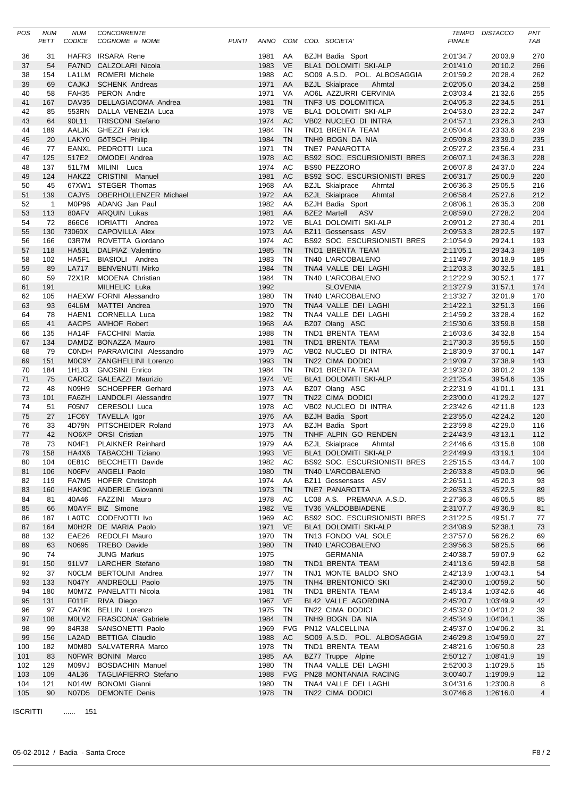| POS       | <b>NUM</b>     | <b>NUM</b>    | <b>CONCORRENTE</b>                                    |              |                 |                        |                                                 | <b>TEMPO</b>           | <b>DISTACCO</b>        | PNT            |
|-----------|----------------|---------------|-------------------------------------------------------|--------------|-----------------|------------------------|-------------------------------------------------|------------------------|------------------------|----------------|
|           | PETT           | <b>CODICE</b> | COGNOME e NOME                                        | <b>PUNTI</b> |                 |                        | ANNO COM COD. SOCIETA'                          | <b>FINALE</b>          |                        | TAB            |
|           |                |               |                                                       |              |                 |                        |                                                 |                        |                        |                |
| 36        | 31             |               | HAFR3 IRSARA Rene                                     |              | 1981            | AA                     | BZJH Badia Sport                                | 2:01'34.7              | 20'03.9                | 270            |
| 37        | 54             |               | FA7ND CALZOLARI Nicola                                |              | 1983            | <b>VE</b>              | <b>BLA1 DOLOMITI SKI-ALP</b>                    | 2:01'41.0              | 20'10.2                | 266            |
| 38        | 154            | LA1LM         | <b>ROMERI Michele</b>                                 |              | 1988            | AC                     | SO09 A.S.D. POL. ALBOSAGGIA                     | 2:01'59.2              | 20'28.4                | 262            |
| 39        | 69             | <b>CAJKJ</b>  | <b>SCHENK Andreas</b>                                 |              | 1971            | AA                     | <b>BZJL Skialprace</b><br>Ahrntal               | 2:02'05.0              | 20'34.2                | 258            |
| 40        | 58             |               | FAH35 PERON Andre                                     |              | 1971<br>1981    | VA<br><b>TN</b>        | AO6L AZZURRI CERVINIA                           | 2:03'03.4              | 21'32.6<br>22'34.5     | 255<br>251     |
| 41<br>42  | 167<br>85      |               | DAV35 DELLAGIACOMA Andrea<br>553RN DALLA VENEZIA Luca |              | 1978            | VE                     | TNF3 US DOLOMITICA<br>BLA1 DOLOMITI SKI-ALP     | 2:04'05.3<br>2:04'53.0 | 23'22.2                | 247            |
| 43        | 64             | 90L11         | <b>TRISCONI Stefano</b>                               |              | 1974            | AC                     | VB02 NUCLEO DI INTRA                            | 2:04'57.1              | 23'26.3                | 243            |
| 44        | 189            |               | AALJK GHEZZI Patrick                                  |              | 1984            | <b>TN</b>              | TND1 BRENTA TEAM                                | 2:05'04.4              | 23'33.6                | 239            |
| 45        | 20             |               | LAKY0 GöTSCH Philip                                   |              | 1984            | <b>TN</b>              | TNH9 BOGN DA NIA                                | 2:05'09.8              | 23'39.0                | 235            |
| 46        | 77             |               | EANXL PEDROTTI Luca                                   |              | 1971            | <b>TN</b>              | TNE7 PANAROTTA                                  | 2:05'27.2              | 23'56.4                | 231            |
| 47        | 125            | 517E2         | <b>OMODEI</b> Andrea                                  |              | 1978            | AC                     | <b>BS92 SOC. ESCURSIONISTI BRES</b>             | 2:06'07.1              | 24'36.3                | 228            |
| 48        | 137            |               | 51L7M MILINI Luca                                     |              | 1974            | AC                     | <b>BS90 PEZZORO</b>                             | 2:06'07.8              | 24'37.0                | 224            |
| 49        | 124            |               | HAKZ2 CRISTINI Manuel                                 |              | 1981            | <b>AC</b>              | <b>BS92 SOC. ESCURSIONISTI BRES</b>             | 2:06'31.7              | 25'00.9                | 220            |
| 50        | 45             |               | 67XW1 STEGER Thomas                                   |              | 1968            | AA                     | <b>BZJL Skialprace</b><br>Ahrntal               | 2:06'36.3              | 25'05.5                | 216            |
| 51        | 139            |               | CAJY5 OBERHOLLENZER Michael                           |              | 1972 AA         |                        | <b>BZJL Skialprace</b><br>Ahrntal               | 2:06'58.4              | 25'27.6                | 212            |
| 52        | $\overline{1}$ |               | M0P96 ADANG Jan Paul                                  |              | 1982            | AA                     | BZJH Badia Sport                                | 2:08'06.1              | 26'35.3                | 208            |
| 53        | 113            |               | 80AFV ARQUIN Lukas                                    |              | 1981            | AA                     | BZE2 Martell ASV                                | 2:08'59.0              | 27'28.2                | 204            |
| 54        | 72             | 866C6         | IORIATTI Andrea                                       |              | 1972            | VE                     | BLA1 DOLOMITI SKI-ALP                           | 2:09'01.2              | 27'30.4                | 201            |
| 55        | 130            |               | 73060X CAPOVILLA Alex                                 |              | 1973            | AA                     | BZ11 Gossensass ASV                             | 2:09'53.3              | 28'22.5                | 197            |
| 56        | 166            |               | 03R7M ROVETTA Giordano                                |              | 1974            | AC                     | BS92 SOC. ESCURSIONISTI BRES                    | 2:10'54.9              | 29'24.1                | 193            |
| 57        | 118            |               | HA53L DALPIAZ Valentino                               |              | 1985            | <b>TN</b>              | TND1 BRENTA TEAM                                | 2:11'05.1              | 29'34.3                | 189            |
| 58        | 102            | HA5F1         | BIASIOLI Andrea                                       |              | 1983            | TN                     | TN40 L'ARCOBALENO                               | 2:11'49.7              | 30'18.9                | 185            |
| 59        | 89             | <b>LA717</b>  | <b>BENVENUTI Mirko</b>                                |              | 1984            | <b>TN</b>              | TNA4 VALLE DEI LAGHI                            | 2:12'03.3              | 30'32.5                | 181            |
| 60        | 59             |               | 72X1R MODENA Christian                                |              | 1984            | <b>TN</b>              | TN40 L'ARCOBALENO                               | 2:12'22.9              | 30'52.1                | 177            |
| 61        | 191            |               | MILHELIC Luka                                         |              | 1992            |                        | <b>SLOVENIA</b>                                 | 2:13'27.9              | 31'57.1                | 174            |
| 62        | 105            |               | <b>HAEXW FORNI Alessandro</b>                         |              | 1980            | TN                     | TN40 L'ARCOBALENO                               | 2:13'32.7              | 32'01.9                | 170            |
| 63        | 93             |               | 64L6M MATTEI Andrea                                   |              | 1970            | <b>TN</b>              | TNA4 VALLE DEI LAGHI                            | 2:14'22.1              | 32'51.3                | 166            |
| 64        | 78             |               | HAEN1 CORNELLA Luca                                   |              | 1982            | <b>TN</b>              | TNA4 VALLE DEI LAGHI                            | 2:14'59.2              | 33'28.4                | 162            |
| 65        | 41             |               | AACP5 AMHOF Robert                                    |              | 1968            | AA                     | BZ07 Olang ASC                                  | 2:15'30.6              | 33'59.8                | 158            |
| 66        | 135            |               | HA14F FACCHINI Mattia                                 |              | 1988            | <b>TN</b>              | TND1 BRENTA TEAM                                | 2:16'03.6              | 34'32.8                | 154            |
| 67        | 134            |               | DAMDZ BONAZZA Mauro                                   |              | 1981            | <b>TN</b>              | TND1 BRENTA TEAM                                | 2:17'30.3              | 35'59.5                | 150            |
| 68        | 79             |               | CONDH PARRAVICINI Alessandro                          |              | 1979            | AC                     | VB02 NUCLEO DI INTRA                            | 2:18'30.9              | 37'00.1                | 147            |
| 69        | 151            |               | M0C9Y ZANGHELLINI Lorenzo                             |              | 1993            | <b>TN</b>              | TN22 CIMA DODICI                                | 2:19'09.7              | 37'38.9                | 143            |
| 70        | 184            | 1H1J3         | <b>GNOSINI Enrico</b>                                 |              | 1984            | <b>TN</b><br><b>VE</b> | TND1 BRENTA TEAM                                | 2:19'32.0              | 38'01.2                | 139            |
| 71<br>72  | 75<br>48       |               | CARCZ GALEAZZI Maurizio                               |              | 1974<br>1973    | AA                     | BLA1 DOLOMITI SKI-ALP                           | 2:21'25.4              | 39'54.6                | 135            |
| 73        | 101            |               | N09H9 SCHOEPFER Gerhard<br>FA6ZH LANDOLFI Alessandro  |              | 1977            | <b>TN</b>              | BZ07 Olang ASC<br>TN22 CIMA DODICI              | 2:22'31.9<br>2:23'00.0 | 41'01.1<br>41'29.2     | 131<br>127     |
| 74        | 51             |               | F05N7 CERESOLI Luca                                   |              | 1978            | AC                     | VB02 NUCLEO DI INTRA                            | 2:23'42.6              | 42'11.8                | 123            |
| 75        | 27             |               | 1FC6Y TAVELLA Igor                                    |              | 1976            | AA                     | <b>BZJH Badia Sport</b>                         | 2:23'55.0              | 42'24.2                | 120            |
| 76        | 33             | 4D79N         | PITSCHEIDER Roland                                    |              | 1973            | AA                     | <b>BZJH Badia Sport</b>                         | 2:23'59.8              | 42'29.0                | 116            |
| 77        | 42             |               | NO6XP ORSI Cristian                                   |              | 1975            | <b>TN</b>              | TNHF ALPIN GO RENDEN                            | 2:24'43.9              | 43'13.1                | 112            |
| 78        | 73             | N04F1         | <b>PLAIKNER Reinhard</b>                              |              | 1979            | AA                     | <b>BZJL Skialprace</b><br>Ahrntal               | 2:24'46.6              | 43'15.8                | 108            |
| 79        | 158            |               | HA4X6 TABACCHI Tiziano                                |              | 1993 VE         |                        | BLA1 DOLOMITI SKI-ALP                           | 2:24'49.9              | 43'19.1                | 104            |
| 80        | 104            |               | 0E81C BECCHETTI Davide                                |              | 1982 AC         |                        | BS92 SOC. ESCURSIONISTI BRES                    | 2:25'15.5              | 43'44.7                | 100            |
| 81        | 106            |               | N06FV ANGELI Paolo                                    |              | 1980            | TN                     | TN40 L'ARCOBALENO                               | 2:26'33.8              | 45'03.0                | 96             |
| 82        | 119            |               | FA7M5 HOFER Christoph                                 |              | 1974            | AA                     | BZ11 Gossensass ASV                             | 2:26'51.1              | 45'20.3                | 93             |
| 83        | 160            |               | HAK9C ANDERLE Giovanni                                |              | 1973 TN         |                        | TNE7 PANAROTTA                                  | 2:26'53.3              | 45'22.5                | 89             |
| 84        | 81             |               | 40A46 FAZZINI Mauro                                   |              | 1978            | AC                     | LC08 A.S. PREMANA A.S.D.                        | 2:27'36.3              | 46'05.5                | 85             |
| 85        | 66             |               | M0AYF BIZ Simone                                      |              | 1982 VE         |                        | TV36 VALDOBBIADENE                              | 2:31'07.7              | 49'36.9                | 81             |
| 86        | 187            |               | LA0TC CODENOTTI Ivo                                   |              | 1969 AC         |                        | BS92 SOC. ESCURSIONISTI BRES                    | 2:31'22.5              | 49'51.7                | 77             |
| 87        | 164            |               | M0H2R DE MARIA Paolo                                  |              | 1971 VE         |                        | BLA1 DOLOMITI SKI-ALP                           | 2:34'08.9              | 52'38.1                | 73             |
| 88        | 132            |               | EAE26 REDOLFI Mauro                                   |              | 1970 TN         |                        | TN13 FONDO VAL SOLE                             | 2:37'57.0              | 56'26.2                | 69             |
| 89        | 63             |               | N0695 TREBO Davide                                    |              | 1980 TN         |                        | TN40 L'ARCOBALENO                               | 2:39'56.3              | 58'25.5                | 66             |
| 90        | 74             |               | <b>JUNG Markus</b>                                    |              | 1975            |                        | <b>GERMANIA</b>                                 | 2:40'38.7              | 59'07.9                | 62             |
| 91        | 150            |               | 91LV7 LARCHER Stefano                                 |              | 1980 TN         |                        | TND1 BRENTA TEAM                                | 2:41'13.6              | 59'42.8                | 58             |
| 92        | 37             |               | NOCLM BERTOLINI Andrea                                |              | 1977            | TN                     | TNJ1 MONTE BALDO SNO                            | 2:42'13.9              | 1:00'43.1              | 54             |
| 93        | 133            |               | N047Y ANDREOLLI Paolo                                 |              | 1975 TN         |                        | TNH4 BRENTONICO SKI                             | 2:42'30.0              | 1:00'59.2              | 50             |
| 94        | 180            |               | M0M7Z PANELATTI Nicola                                |              | 1981 TN         |                        | TND1 BRENTA TEAM                                | 2:45'13.4              | 1:03'42.6              | 46             |
| 95        | 131            | F011F         | RIVA Diego                                            |              | 1967 VE         |                        | BL42 VALLE AGORDINA                             | 2:45'20.7              | 1:03'49.9              | 42             |
| 96        | 97             |               | CA74K BELLIN Lorenzo                                  |              | 1975 TN         |                        | TN22 CIMA DODICI                                | 2:45'32.0              | 1:04'01.2              | 39             |
| 97        | 108            |               | M0LV2 FRASCONA' Gabriele                              |              | 1984 TN         |                        | TNH9 BOGN DA NIA                                | 2:45'34.9              | 1:04'04.1              | 35             |
| 98        | 99             |               | 84R38 SANSONETTI Paolo                                |              | 1969            |                        | FVG PN12 VALCELLINA                             | 2:45'37.0              | 1:04'06.2              | 31             |
| 99<br>100 | 156<br>182     |               | LA2AD BETTIGA Claudio<br>M0M80 SALVATERRA Marco       |              | 1988 AC<br>1978 | TN                     | SO09 A.S.D. POL. ALBOSAGGIA<br>TND1 BRENTA TEAM | 2:46'29.8<br>2:48'21.6 | 1:04'59.0<br>1:06'50.8 | 27             |
| 101       | 83             |               | NOFWR BONINI Marco                                    |              | 1985 AA         |                        | BZ77 Truppe Alpine                              | 2:50'12.7              | 1:08'41.9              | 23<br>19       |
| 102       | 129            |               | M09VJ BOSDACHIN Manuel                                |              | 1980            | TN                     | TNA4 VALLE DEI LAGHI                            | 2:52'00.3              | 1:10'29.5              | 15             |
| 103       | 109            |               | 4AL36 TAGLIAFIERRO Stefano                            |              | 1988            |                        | FVG PN28 MONTANAIA RACING                       | 3:00'40.7              | 1:19'09.9              | 12             |
| 104       | 121            |               | N014W BONOMI Gianni                                   |              | 1980            | TN                     | TNA4 VALLE DEI LAGHI                            | 3:04'31.6              | 1:23'00.8              | 8              |
| 105       | 90             |               | N07D5 DEMONTE Denis                                   |              | 1978 TN         |                        | TN22 CIMA DODICI                                | 3:07'46.8              | 1:26'16.0              | $\overline{4}$ |
|           |                |               |                                                       |              |                 |                        |                                                 |                        |                        |                |

ISCRITTI ...... 151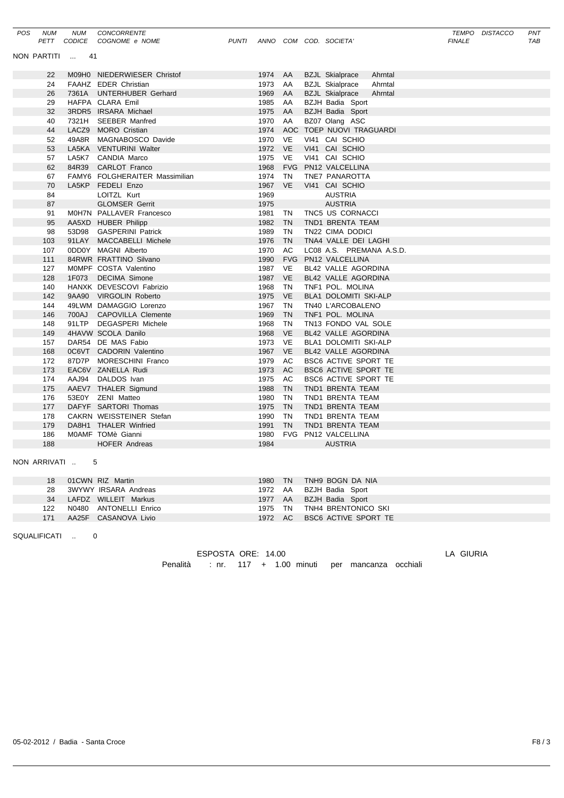| POS                         | <b>NUM</b>   | <b>NUM</b> | CONCORRENTE<br>PETT CODICE COGNOME e NOME | PUNTI |         |            |  | ANNO COM COD. SOCIETA'            | TEMPO<br><b>FINALE</b> | <b>DISTACCO</b> | PNT<br>TAB |
|-----------------------------|--------------|------------|-------------------------------------------|-------|---------|------------|--|-----------------------------------|------------------------|-----------------|------------|
|                             |              |            |                                           |       |         |            |  |                                   |                        |                 |            |
| NON PARTITI<br>41<br>$\sim$ |              |            |                                           |       |         |            |  |                                   |                        |                 |            |
|                             | 22           |            | M09H0 NIEDERWIESER Christof               |       | 1974 AA |            |  | <b>BZJL Skialprace</b><br>Ahrntal |                        |                 |            |
|                             | 24           |            | FAAHZ EDER Christian                      |       | 1973    | AA         |  | <b>BZJL Skialprace</b><br>Ahrntal |                        |                 |            |
|                             | 26           |            | 7361A UNTERHUBER Gerhard                  |       | 1969    | AA         |  | <b>BZJL Skialprace</b><br>Ahrntal |                        |                 |            |
|                             | 29           |            | HAFPA CLARA Emil                          |       | 1985    | AA         |  | BZJH Badia Sport                  |                        |                 |            |
|                             | 32           |            | 3RDR5 IRSARA Michael                      |       | 1975    | AA         |  | BZJH Badia Sport                  |                        |                 |            |
|                             | 40           | 7321H      | <b>SEEBER Manfred</b>                     |       | 1970    | AA         |  | BZ07 Olang ASC                    |                        |                 |            |
|                             | 44           |            | LACZ9 MORO Cristian                       |       | 1974    | AOC        |  | TOEP NUOVI TRAGUARDI              |                        |                 |            |
|                             | 52           | 49A8R      | MAGNABOSCO Davide                         |       | 1970    | <b>VE</b>  |  | VI41 CAI SCHIO                    |                        |                 |            |
|                             | 53           |            | LA5KA VENTURINI Walter                    |       | 1972    | <b>VE</b>  |  | VI41 CAI SCHIO                    |                        |                 |            |
|                             | 57           |            | LA5K7 CANDIA Marco                        |       | 1975    | <b>VE</b>  |  | VI41 CAI SCHIO                    |                        |                 |            |
|                             | 62           | 84R39      | <b>CARLOT Franco</b>                      |       | 1968    | <b>FVG</b> |  | PN12 VALCELLINA                   |                        |                 |            |
|                             | 67           |            | FAMY6 FOLGHERAITER Massimilian            |       | 1974    | <b>TN</b>  |  | TNE7 PANAROTTA                    |                        |                 |            |
|                             | 70           |            | LA5KP FEDELI Enzo                         |       | 1967    | <b>VE</b>  |  | VI41 CAI SCHIO                    |                        |                 |            |
|                             | 84           |            | LOITZL Kurt                               |       | 1969    |            |  | <b>AUSTRIA</b>                    |                        |                 |            |
|                             | 87           |            | <b>GLOMSER Gerrit</b>                     |       | 1975    |            |  | <b>AUSTRIA</b>                    |                        |                 |            |
|                             | 91           |            | M0H7N PALLAVER Francesco                  |       | 1981    | TN         |  | TNC5 US CORNACCI                  |                        |                 |            |
|                             | 95           |            | AA5XD HUBER Philipp                       |       | 1982    | <b>TN</b>  |  | TND1 BRENTA TEAM                  |                        |                 |            |
|                             | 98           |            | 53D98 GASPERINI Patrick                   |       | 1989    | <b>TN</b>  |  | TN22 CIMA DODICI                  |                        |                 |            |
|                             | 103          |            | 91LAY MACCABELLI Michele                  |       | 1976    | <b>TN</b>  |  | TNA4 VALLE DEI LAGHI              |                        |                 |            |
|                             | 107          |            | 0DD0Y MAGNI Alberto                       |       | 1970    | AC         |  | LC08 A.S. PREMANA A.S.D.          |                        |                 |            |
|                             | 111          |            | 84RWR FRATTINO Silvano                    |       | 1990    | <b>FVG</b> |  | PN12 VALCELLINA                   |                        |                 |            |
|                             | 127          |            | MOMPF COSTA Valentino                     |       | 1987    | <b>VE</b>  |  | BL42 VALLE AGORDINA               |                        |                 |            |
|                             | 128          | 1F073      | <b>DECIMA Simone</b>                      |       | 1987    | <b>VE</b>  |  | BL42 VALLE AGORDINA               |                        |                 |            |
|                             | 140          |            | HANXK DEVESCOVI Fabrizio                  |       | 1968    | <b>TN</b>  |  | TNF1 POL. MOLINA                  |                        |                 |            |
|                             | 142          |            | 9AA90 VIRGOLIN Roberto                    |       | 1975    | <b>VE</b>  |  | BLA1 DOLOMITI SKI-ALP             |                        |                 |            |
|                             | 144          |            | 49LWM DAMAGGIO Lorenzo                    |       | 1967    | TN         |  | TN40 L'ARCOBALENO                 |                        |                 |            |
|                             | 146          | 700AJ      | <b>CAPOVILLA Clemente</b>                 |       | 1969    | <b>TN</b>  |  | TNF1 POL. MOLINA                  |                        |                 |            |
|                             | 148          | 91LTP      | <b>DEGASPERI Michele</b>                  |       | 1968    | <b>TN</b>  |  | TN13 FONDO VAL SOLE               |                        |                 |            |
|                             | 149          |            | 4HAVW SCOLA Danilo                        |       | 1968    | <b>VE</b>  |  | BL42 VALLE AGORDINA               |                        |                 |            |
|                             | 157          |            | DAR54 DE MAS Fabio                        |       | 1973    | <b>VE</b>  |  | <b>BLA1 DOLOMITI SKI-ALP</b>      |                        |                 |            |
|                             | 168          |            | 0C6VT CADORIN Valentino                   |       | 1967    | <b>VE</b>  |  | BL42 VALLE AGORDINA               |                        |                 |            |
|                             | 172          | 87D7P      | MORESCHINI Franco                         |       | 1979    | AC         |  | BSC6 ACTIVE SPORT TE              |                        |                 |            |
|                             | 173          |            | EAC6V ZANELLA Rudi                        |       | 1973    | AC         |  | BSC6 ACTIVE SPORT TE              |                        |                 |            |
|                             | 174          | AAJ94      | DALDOS Ivan                               |       | 1975    | AC         |  | BSC6 ACTIVE SPORT TE              |                        |                 |            |
|                             | 175          |            | AAEV7 THALER Sigmund                      |       | 1988    | <b>TN</b>  |  | TND1 BRENTA TEAM                  |                        |                 |            |
|                             | 176          |            | 53E0Y ZENI Matteo                         |       | 1980    | <b>TN</b>  |  | TND1 BRENTA TEAM                  |                        |                 |            |
|                             | 177          |            | DAFYF SARTORI Thomas                      |       | 1975    | <b>TN</b>  |  | TND1 BRENTA TEAM                  |                        |                 |            |
|                             | 178          |            | CAKRN WEISSTEINER Stefan                  |       | 1990    | <b>TN</b>  |  | TND1 BRENTA TEAM                  |                        |                 |            |
|                             | 179          |            | DA8H1 THALER Winfried                     |       | 1991    | <b>TN</b>  |  | TND1 BRENTA TEAM                  |                        |                 |            |
|                             | 186          |            | M0AMF TOMè Gianni                         |       | 1980    |            |  | FVG PN12 VALCELLINA               |                        |                 |            |
|                             | 188          |            | <b>HOFER Andreas</b>                      |       | 1984    |            |  | <b>AUSTRIA</b>                    |                        |                 |            |
|                             | NON ARRIVATI |            | 5                                         |       |         |            |  |                                   |                        |                 |            |

|     | 18 01CWN RIZ Martin     | 1980 TN TNH9 BOGN DA NIA     |  |
|-----|-------------------------|------------------------------|--|
|     | 28 3WYWY IRSARA Andreas | 1972 AA BZJH Badia Sport     |  |
|     | 34 LAFDZ WILLEIT Markus | 1977 AA BZJH Badia Sport     |  |
| 122 | N0480 ANTONELLI Enrico  | 1975 TN TNH4 BRENTONICO SKI  |  |
| 171 | AA25F CASANOVA Livio    | 1972 AC BSC6 ACTIVE SPORT TE |  |

SQUALIFICATI .. 0

| ESPOSTA ORE: 14.00 |  |  |                                                        |  |
|--------------------|--|--|--------------------------------------------------------|--|
|                    |  |  | Penalità : nr. 117 + 1.00 minuti per mancanza occhiali |  |

LA GIURIA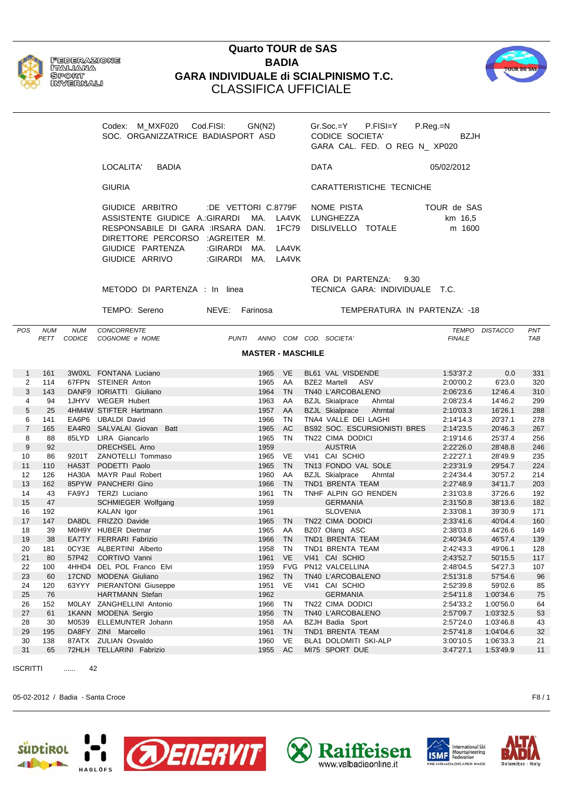

**FEDERAZIONE** ITALIANA SPORT **NAVABLE NAVALO** 

## **Quarto TOUR de SAS BADIA GARA INDIVIDUALE di SCIALPINISMO T.C.** CLASSIFICA UFFICIALE



Codex: M\_MXF020 Cod.FISI: GN(N2) Gr.Soc.=Y P.FISI=Y P.Reg.=N SOC. ORGANIZZATRICE BADIASPORT ASD CODICE SOCIETA' BZJH GARA CAL. FED. O REG N\_ XP020 LOCALITA' BADIA DATA 05/02/2012 GIURIA CARATTERISTICHE TECNICHE GIUDICE ARBITRO :DE VETTORI C.8779F NOME PISTA TOUR de SAS ASSISTENTE GIUDICE A.: GIRARDI MA. LA4VK LUNGHEZZA km 16,5 RESPONSABILE DI GARA :IRSARA DAN. 1FC79 DISLIVELLO TOTALE m 1600 DIRETTORE PERCORSO :AGREITER M. GIUDICE PARTENZA :GIRARDI MA. LA4VK GIUDICE ARRIVO : GIRARDI MA. LA4VK ORA DI PARTENZA: 9.30 METODO DI PARTENZA : In linea TECNICA GARA: INDIVIDUALE T.C. TEMPO: Sereno NEVE: Farinosa TEMPERATURA IN PARTENZA: -18 *POS NUM NUM CONCORRENTE TEMPO DISTACCO PNT PETT CODICE COGNOME e NOME PUNTI ANNO COM COD. SOCIETA' FINALE TAB* **MASTER - MASCHILE** 1 161 3W0XL FONTANA Luciano 1965 VE BL61 VAL VISDENDE 1:53'37.2 0.0 331 2 114 67FPN STEINER Anton 1965 AA BZE2 Martell ASV 2:00'00.2 6'23.0 320 3 143 DANF9 IORIATTI Giuliano 1964 TN TN40 L'ARCOBALENO 2:06'23.6 12'46.4 310 4 94 1JHYV WEGER Hubert 1963 AA BZJL Skialprace Ahrntal 2:08'23.4 14'46.2 299 5 25 4HM4W STIFTER Hartmann 1957 AA BZJL Skialprace Ahrntal 2:10'03.3 16'26.1 288 6 141 EA6P6 UBALDI David 1966 TN TNA4 VALLE DEI LAGHI 2:14'14.3 20'37.1 278 7 165 EA4R0 SALVALAI Giovan Batt 1965 AC BS92 SOC. ESCURSIONISTI BRES 2:14'23.5 20'46.3 267 8 88 85LYD LIRA Giancarlo 1965 TN TN22 CIMA DODICI 2:19'14.6 25'37.4 256 9 92 DRECHSEL Arno 1959 AUSTRIA 2:22'26.0 28'48.8 246 10 86 9201T ZANOTELLI Tommaso 1965 VE VI41 CAI SCHIO 2:22'27.1 28'49.9 235 11 110 HA53T PODETTI Paolo 1965 TN TN13 FONDO VAL SOLE 2:23'31.9 29'54.7 224 12 126 HA30A MAYR Paul Robert 1960 AA BZJL Skialprace Ahrntal 2:24'34.4 30'57.2 214 13 162 85PYW PANCHERI Gino 1966 TN TND1 BRENTA TEAM 2:27'48.9 34'11.7 203 14 43 FA9YJ TERZI Luciano 1961 TN TNHF ALPIN GO RENDEN 2:31'03.8 37'26.6 192 15 47 SCHMIEGER Wolfgang 1959 GERMANIA 2:31'50.8 38'13.6 182 16 192 KALAN Igor 1961 SLOVENIA 2:33'08.1 39'30.9 171 17 147 DA8DL FRIZZO Davide 1965 TN TN22 CIMA DODICI 2:33'41.6 40'04.4 160 18 39 M0H9Y HUBER Dietmar 1965 AA BZ07 Olang ASC 2:38'03.8 44'26.6 149 19 38 EA7TY FERRARI Fabrizio 1966 TN TND1 BRENTA TEAM 2:40'34.6 46'57.4 139 20 181 0CY3E ALBERTINI Alberto 1958 TN TND1 BRENTA TEAM 2:42'43.3 49'06.1 128 21 80 57P42 CORTIVO Vanni 1961 VE VI41 CAI SCHIO 2:43'52.7 50'15.5 117 22 100 4HHD4 DEL POL Franco Elvi 1959 FVG PN12 VALCELLINA 2:48'04.5 54'27.3 107 23 60 17CND MODENA Giuliano 1962 TN TN40 L'ARCOBALENO 2:51'31.8 57'54.6 96 24 120 63YYY PIERANTONI Giuseppe 1951 VE VI41 CAI SCHIO 2:52'39.8 59'02.6 85 25 76 HARTMANN Stefan 1962 GERMANIA 2:54'11.8 1:00'34.6 75 26 152 M0LAY ZANGHELLINI Antonio 1966 TN TN22 CIMA DODICI 2:54'33.2 1:00'56.0 64 27 61 1KANN MODENA Sergio 1956 TN TN40 L'ARCOBALENO 2:57'09.7 1:03'32.5 53 28 30 M0539 ELLEMUNTER Johann 1958 AA BZJH Badia Sport 2:57'24.0 1:03'46.8 43 29 195 DA8FY ZINI Marcello 1961 TN TND1 BRENTA TEAM 2:57'41.8 1:04'04.6 32 30 138 87ATX ZULIAN Osvaldo 1960 VE BLA1 DOLOMITI SKI-ALP 3:00'10.5 1:06'33.3 21 31 65 72HLH TELLARINI Fabrizio 1955 AC MI75 SPORT DUE 3:47'27.1 1:53'49.9 11 ISCRITTI ...... 42

05-02-2012 / Badia - Santa Croce F8 / 1